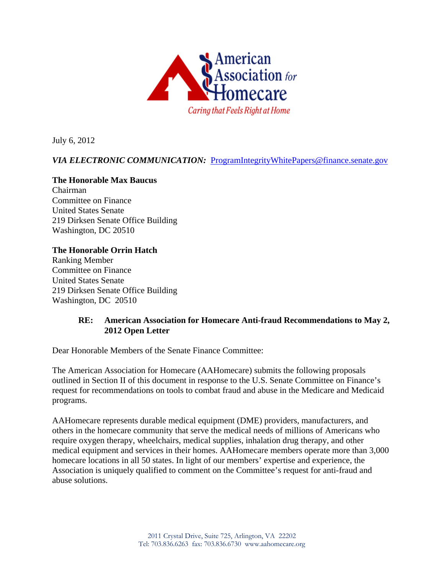

July 6, 2012

### *VIA ELECTRONIC COMMUNICATION:* ProgramIntegrityWhitePapers@finance.senate.gov

#### **The Honorable Max Baucus**

Chairman Committee on Finance United States Senate 219 Dirksen Senate Office Building Washington, DC 20510

**The Honorable Orrin Hatch**  Ranking Member Committee on Finance United States Senate 219 Dirksen Senate Office Building Washington, DC 20510

#### **RE: American Association for Homecare Anti-fraud Recommendations to May 2, 2012 Open Letter**

Dear Honorable Members of the Senate Finance Committee:

The American Association for Homecare (AAHomecare) submits the following proposals outlined in Section II of this document in response to the U.S. Senate Committee on Finance's request for recommendations on tools to combat fraud and abuse in the Medicare and Medicaid programs.

AAHomecare represents durable medical equipment (DME) providers, manufacturers, and others in the homecare community that serve the medical needs of millions of Americans who require oxygen therapy, wheelchairs, medical supplies, inhalation drug therapy, and other medical equipment and services in their homes. AAHomecare members operate more than 3,000 homecare locations in all 50 states. In light of our members' expertise and experience, the Association is uniquely qualified to comment on the Committee's request for anti-fraud and abuse solutions.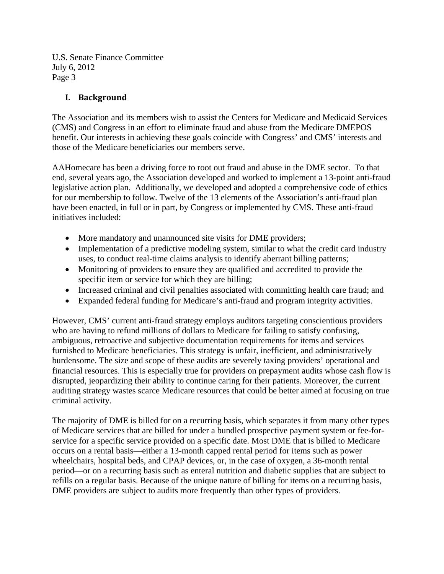### **I. Background**

The Association and its members wish to assist the Centers for Medicare and Medicaid Services (CMS) and Congress in an effort to eliminate fraud and abuse from the Medicare DMEPOS benefit. Our interests in achieving these goals coincide with Congress' and CMS' interests and those of the Medicare beneficiaries our members serve.

AAHomecare has been a driving force to root out fraud and abuse in the DME sector. To that end, several years ago, the Association developed and worked to implement a 13-point anti-fraud legislative action plan. Additionally, we developed and adopted a comprehensive code of ethics for our membership to follow. Twelve of the 13 elements of the Association's anti-fraud plan have been enacted, in full or in part, by Congress or implemented by CMS. These anti-fraud initiatives included:

- More mandatory and unannounced site visits for DME providers;
- Implementation of a predictive modeling system, similar to what the credit card industry uses, to conduct real-time claims analysis to identify aberrant billing patterns;
- Monitoring of providers to ensure they are qualified and accredited to provide the specific item or service for which they are billing;
- Increased criminal and civil penalties associated with committing health care fraud; and
- Expanded federal funding for Medicare's anti-fraud and program integrity activities.

However, CMS' current anti-fraud strategy employs auditors targeting conscientious providers who are having to refund millions of dollars to Medicare for failing to satisfy confusing, ambiguous, retroactive and subjective documentation requirements for items and services furnished to Medicare beneficiaries. This strategy is unfair, inefficient, and administratively burdensome. The size and scope of these audits are severely taxing providers' operational and financial resources. This is especially true for providers on prepayment audits whose cash flow is disrupted, jeopardizing their ability to continue caring for their patients. Moreover, the current auditing strategy wastes scarce Medicare resources that could be better aimed at focusing on true criminal activity.

The majority of DME is billed for on a recurring basis, which separates it from many other types of Medicare services that are billed for under a bundled prospective payment system or fee-forservice for a specific service provided on a specific date. Most DME that is billed to Medicare occurs on a rental basis—either a 13-month capped rental period for items such as power wheelchairs, hospital beds, and CPAP devices, or, in the case of oxygen, a 36-month rental period—or on a recurring basis such as enteral nutrition and diabetic supplies that are subject to refills on a regular basis. Because of the unique nature of billing for items on a recurring basis, DME providers are subject to audits more frequently than other types of providers.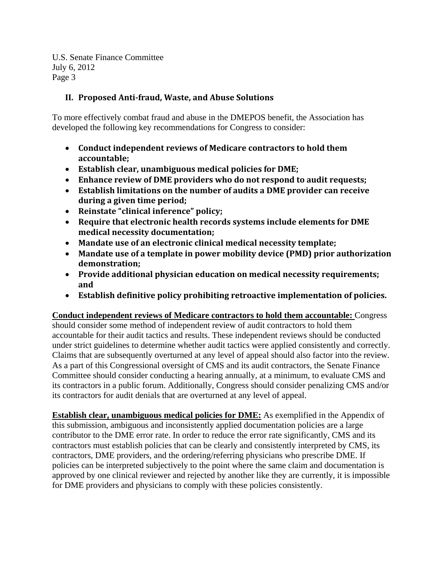#### **II. Proposed Anti‐fraud, Waste, and Abuse Solutions**

To more effectively combat fraud and abuse in the DMEPOS benefit, the Association has developed the following key recommendations for Congress to consider:

- **Conduct independent reviews of Medicare contractors to hold them accountable;**
- **Establish clear, unambiguous medical policies for DME;**
- **Enhance review of DME providers who do not respond to audit requests;**
- **Establish limitations on the number of audits a DME provider can receive during a given time period;**
- **Reinstate "clinical inference" policy;**
- **Require that electronic health records systems include elements for DME medical necessity documentation;**
- **Mandate use of an electronic clinical medical necessity template;**
- **Mandate use of a template in power mobility device (PMD) prior authorization demonstration;**
- **Provide additional physician education on medical necessity requirements; and**
- **Establish definitive policy prohibiting retroactive implementation of policies.**

## **Conduct independent reviews of Medicare contractors to hold them accountable:** Congress

should consider some method of independent review of audit contractors to hold them accountable for their audit tactics and results. These independent reviews should be conducted under strict guidelines to determine whether audit tactics were applied consistently and correctly. Claims that are subsequently overturned at any level of appeal should also factor into the review. As a part of this Congressional oversight of CMS and its audit contractors, the Senate Finance Committee should consider conducting a hearing annually, at a minimum, to evaluate CMS and its contractors in a public forum. Additionally, Congress should consider penalizing CMS and/or its contractors for audit denials that are overturned at any level of appeal.

**Establish clear, unambiguous medical policies for DME:** As exemplified in the Appendix of this submission, ambiguous and inconsistently applied documentation policies are a large contributor to the DME error rate. In order to reduce the error rate significantly, CMS and its contractors must establish policies that can be clearly and consistently interpreted by CMS, its contractors, DME providers, and the ordering/referring physicians who prescribe DME. If policies can be interpreted subjectively to the point where the same claim and documentation is approved by one clinical reviewer and rejected by another like they are currently, it is impossible for DME providers and physicians to comply with these policies consistently.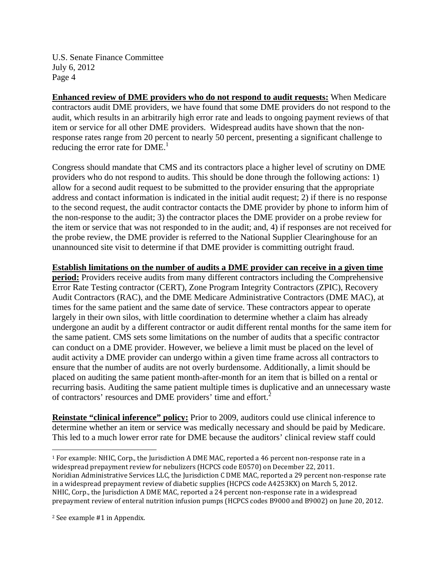**Enhanced review of DME providers who do not respond to audit requests:** When Medicare contractors audit DME providers, we have found that some DME providers do not respond to the audit, which results in an arbitrarily high error rate and leads to ongoing payment reviews of that item or service for all other DME providers. Widespread audits have shown that the nonresponse rates range from 20 percent to nearly 50 percent, presenting a significant challenge to reducing the error rate for  $DME<sup>1</sup>$ 

Congress should mandate that CMS and its contractors place a higher level of scrutiny on DME providers who do not respond to audits. This should be done through the following actions: 1) allow for a second audit request to be submitted to the provider ensuring that the appropriate address and contact information is indicated in the initial audit request; 2) if there is no response to the second request, the audit contractor contacts the DME provider by phone to inform him of the non-response to the audit; 3) the contractor places the DME provider on a probe review for the item or service that was not responded to in the audit; and, 4) if responses are not received for the probe review, the DME provider is referred to the National Supplier Clearinghouse for an unannounced site visit to determine if that DME provider is committing outright fraud.

**Establish limitations on the number of audits a DME provider can receive in a given time** 

**period:** Providers receive audits from many different contractors including the Comprehensive Error Rate Testing contractor (CERT), Zone Program Integrity Contractors (ZPIC), Recovery Audit Contractors (RAC), and the DME Medicare Administrative Contractors (DME MAC), at times for the same patient and the same date of service. These contractors appear to operate largely in their own silos, with little coordination to determine whether a claim has already undergone an audit by a different contractor or audit different rental months for the same item for the same patient. CMS sets some limitations on the number of audits that a specific contractor can conduct on a DME provider. However, we believe a limit must be placed on the level of audit activity a DME provider can undergo within a given time frame across all contractors to ensure that the number of audits are not overly burdensome. Additionally, a limit should be placed on auditing the same patient month-after-month for an item that is billed on a rental or recurring basis. Auditing the same patient multiple times is duplicative and an unnecessary waste of contractors' resources and DME providers' time and effort.<sup>2</sup>

**Reinstate "clinical inference" policy:** Prior to 2009, auditors could use clinical inference to determine whether an item or service was medically necessary and should be paid by Medicare. This led to a much lower error rate for DME because the auditors' clinical review staff could

 $\overline{a}$ 

 $1$  For example: NHIC, Corp., the Jurisdiction A DME MAC, reported a 46 percent non-response rate in a widespread prepayment review for nebulizers (HCPCS code E0570) on December 22, 2011. Noridian Administrative Services LLC, the Jurisdiction C DME MAC, reported a 29 percent non-response rate in a widespread prepayment review of diabetic supplies (HCPCS code A4253KX) on March 5, 2012. NHIC, Corp., the Jurisdiction A DME MAC, reported a 24 percent non-response rate in a widespread prepayment review of enteral nutrition infusion pumps (HCPCS codes B9000 and B9002) on June 20, 2012.

<sup>&</sup>lt;sup>2</sup> See example #1 in Appendix.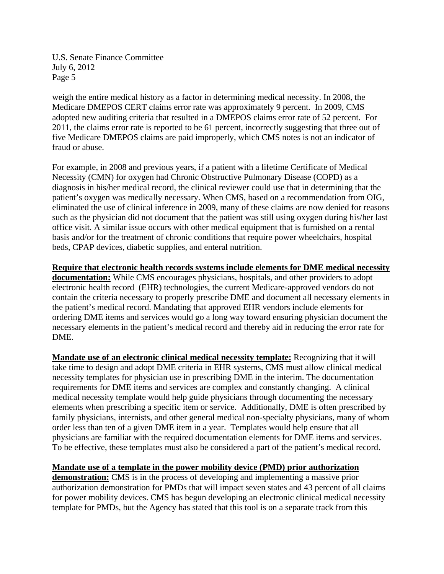weigh the entire medical history as a factor in determining medical necessity. In 2008, the Medicare DMEPOS CERT claims error rate was approximately 9 percent. In 2009, CMS adopted new auditing criteria that resulted in a DMEPOS claims error rate of 52 percent. For 2011, the claims error rate is reported to be 61 percent, incorrectly suggesting that three out of five Medicare DMEPOS claims are paid improperly, which CMS notes is not an indicator of fraud or abuse.

For example, in 2008 and previous years, if a patient with a lifetime Certificate of Medical Necessity (CMN) for oxygen had Chronic Obstructive Pulmonary Disease (COPD) as a diagnosis in his/her medical record, the clinical reviewer could use that in determining that the patient's oxygen was medically necessary. When CMS, based on a recommendation from OIG, eliminated the use of clinical inference in 2009, many of these claims are now denied for reasons such as the physician did not document that the patient was still using oxygen during his/her last office visit. A similar issue occurs with other medical equipment that is furnished on a rental basis and/or for the treatment of chronic conditions that require power wheelchairs, hospital beds, CPAP devices, diabetic supplies, and enteral nutrition.

**Require that electronic health records systems include elements for DME medical necessity documentation:** While CMS encourages physicians, hospitals, and other providers to adopt electronic health record (EHR) technologies, the current Medicare-approved vendors do not contain the criteria necessary to properly prescribe DME and document all necessary elements in the patient's medical record. Mandating that approved EHR vendors include elements for ordering DME items and services would go a long way toward ensuring physician document the necessary elements in the patient's medical record and thereby aid in reducing the error rate for DME.

**Mandate use of an electronic clinical medical necessity template:** Recognizing that it will take time to design and adopt DME criteria in EHR systems, CMS must allow clinical medical necessity templates for physician use in prescribing DME in the interim. The documentation requirements for DME items and services are complex and constantly changing. A clinical medical necessity template would help guide physicians through documenting the necessary elements when prescribing a specific item or service. Additionally, DME is often prescribed by family physicians, internists, and other general medical non-specialty physicians, many of whom order less than ten of a given DME item in a year. Templates would help ensure that all physicians are familiar with the required documentation elements for DME items and services. To be effective, these templates must also be considered a part of the patient's medical record.

#### **Mandate use of a template in the power mobility device (PMD) prior authorization**

**demonstration:** CMS is in the process of developing and implementing a massive prior authorization demonstration for PMDs that will impact seven states and 43 percent of all claims for power mobility devices. CMS has begun developing an electronic clinical medical necessity template for PMDs, but the Agency has stated that this tool is on a separate track from this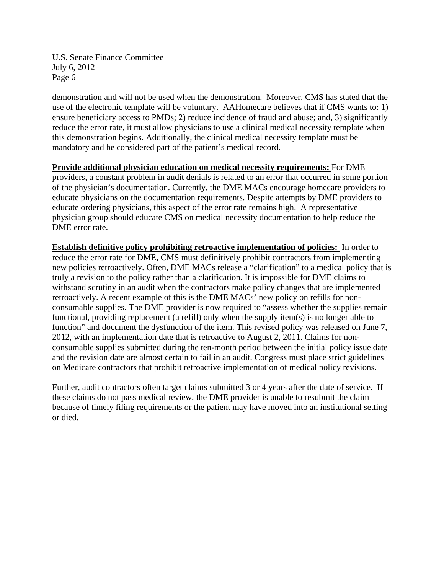demonstration and will not be used when the demonstration. Moreover, CMS has stated that the use of the electronic template will be voluntary. AAHomecare believes that if CMS wants to: 1) ensure beneficiary access to PMDs; 2) reduce incidence of fraud and abuse; and, 3) significantly reduce the error rate, it must allow physicians to use a clinical medical necessity template when this demonstration begins. Additionally, the clinical medical necessity template must be mandatory and be considered part of the patient's medical record.

**Provide additional physician education on medical necessity requirements:** For DME providers, a constant problem in audit denials is related to an error that occurred in some portion of the physician's documentation. Currently, the DME MACs encourage homecare providers to educate physicians on the documentation requirements. Despite attempts by DME providers to educate ordering physicians, this aspect of the error rate remains high. A representative physician group should educate CMS on medical necessity documentation to help reduce the DME error rate.

**Establish definitive policy prohibiting retroactive implementation of policies:** In order to reduce the error rate for DME, CMS must definitively prohibit contractors from implementing new policies retroactively. Often, DME MACs release a "clarification" to a medical policy that is truly a revision to the policy rather than a clarification. It is impossible for DME claims to withstand scrutiny in an audit when the contractors make policy changes that are implemented retroactively. A recent example of this is the DME MACs' new policy on refills for nonconsumable supplies. The DME provider is now required to "assess whether the supplies remain functional, providing replacement (a refill) only when the supply item(s) is no longer able to function" and document the dysfunction of the item. This revised policy was released on June 7, 2012, with an implementation date that is retroactive to August 2, 2011. Claims for nonconsumable supplies submitted during the ten-month period between the initial policy issue date and the revision date are almost certain to fail in an audit. Congress must place strict guidelines on Medicare contractors that prohibit retroactive implementation of medical policy revisions.

Further, audit contractors often target claims submitted 3 or 4 years after the date of service. If these claims do not pass medical review, the DME provider is unable to resubmit the claim because of timely filing requirements or the patient may have moved into an institutional setting or died.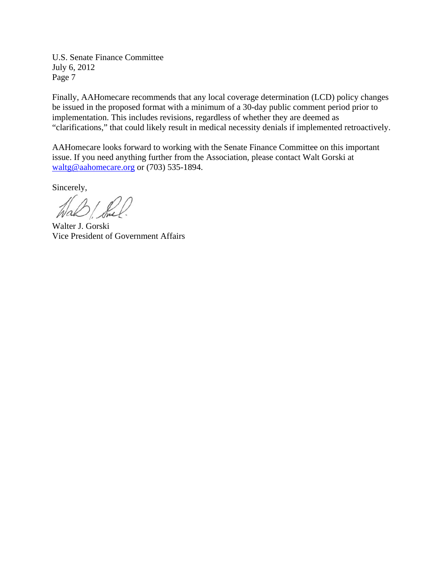Finally, AAHomecare recommends that any local coverage determination (LCD) policy changes be issued in the proposed format with a minimum of a 30-day public comment period prior to implementation. This includes revisions, regardless of whether they are deemed as "clarifications," that could likely result in medical necessity denials if implemented retroactively.

AAHomecare looks forward to working with the Senate Finance Committee on this important issue. If you need anything further from the Association, please contact Walt Gorski at waltg@aahomecare.org or (703) 535-1894.

Sincerely,

Walter J. Gorski Vice President of Government Affairs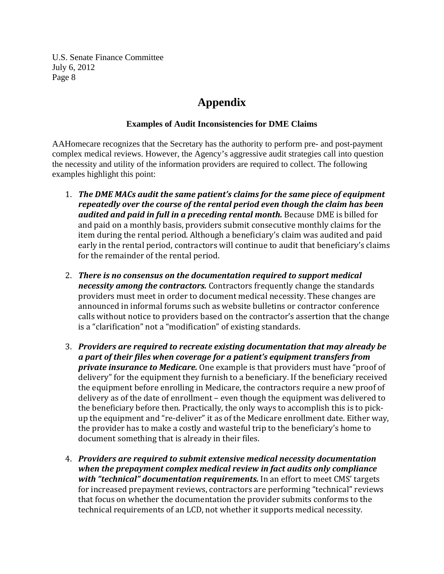# **Appendix**

#### **Examples of Audit Inconsistencies for DME Claims**

AAHomecare recognizes that the Secretary has the authority to perform pre- and post-payment complex medical reviews. However, the Agency's aggressive audit strategies call into question the necessity and utility of the information providers are required to collect. The following examples highlight this point:

- 1. *The DME MACs audit the same patient's claims for the same piece of equipment repeatedly over the course of the rental period even though the claim has been audited and paid in full in a preceding rental month.* Because DME is billed for and paid on a monthly basis, providers submit consecutive monthly claims for the item during the rental period. Although a beneficiary's claim was audited and paid early in the rental period, contractors will continue to audit that beneficiary's claims for the remainder of the rental period.
- 2. *There is no consensus on the documentation required to support medical* **necessity among the contractors.** Contractors frequently change the standards providers must meet in order to document medical necessity. These changes are announced in informal forums such as website bulletins or contractor conference calls without notice to providers based on the contractor's assertion that the change is a "clarification" not a "modification" of existing standards.
- 3. *Providers are required to recreate existing documentation that may already be a part of their files when coverage for a patient's equipment transfers from* **private insurance to Medicare.** One example is that providers must have "proof of delivery" for the equipment they furnish to a beneficiary. If the beneficiary received the equipment before enrolling in Medicare, the contractors require a new proof of delivery as of the date of enrollment – even though the equipment was delivered to the beneficiary before then. Practically, the only ways to accomplish this is to pickup the equipment and "re-deliver" it as of the Medicare enrollment date. Either way, the provider has to make a costly and wasteful trip to the beneficiary's home to document something that is already in their files.
- 4. *Providers are required to submit extensive medical necessity documentation when the prepayment complex medical review in fact audits only compliance with* "*technical*" *documentation requirements.* In an effort to meet CMS' targets for increased prepayment reviews, contractors are performing "technical" reviews that focus on whether the documentation the provider submits conforms to the technical requirements of an LCD, not whether it supports medical necessity.